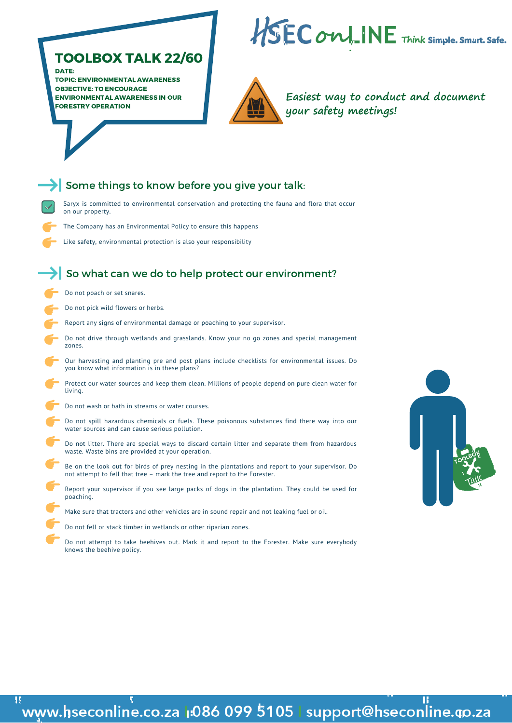- Saryx is committed to environmental conservation and protecting the fauna and flora that occur on our property.
- The Company has an Environmental Policy to ensure this happens
- Like safety, environmental protection is also your responsibility

# TOOLBOX TALK 22/60

DATE:

TOPIC: ENVIRONMENTAL AWARENESS OBJECTIVE: TO ENCOURAGE ENVIRONMENTAL AWARENESS IN OUR FORESTRY OPERATION





### Some things to know before you give your talk:

**Easiest way to conduct and document your safety meetings!**

## So what can we do to help protect our environment?

- Do not poach or set snares.
- Do not pick wild flowers or herbs.
- Report any signs of environmental damage or poaching to your supervisor.
- Do not drive through wetlands and grasslands. Know your no go zones and special management zones.
- 
- Our harvesting and planting pre and post plans include checklists for environmental issues. Do you know what information is in these plans?
- Protect our water sources and keep them clean. Millions of people depend on pure clean water for living. Do not wash or bath in streams or water courses.
- - Do not spill hazardous chemicals or fuels. These poisonous substances find there way into our water sources and can cause serious pollution.
	- Do not litter. There are special ways to discard certain litter and separate them from hazardous waste. Waste bins are provided at your operation.
	- Be on the look out for birds of prey nesting in the plantations and report to your supervisor. Do not attempt to fell that tree – mark the tree and report to the Forester.
	- Report your supervisor if you see large packs of dogs in the plantation. They could be used for poaching.
		- Make sure that tractors and other vehicles are in sound repair and not leaking fuel or oil.
	- Do not fell or stack timber in wetlands or other riparian zones.
	- Do not attempt to take beehives out. Mark it and report to the Forester. Make sure everybody knows the beehive policy.



### π www.hseconline.co.za 1:086 099 5105 | support@hseconline.qp.za